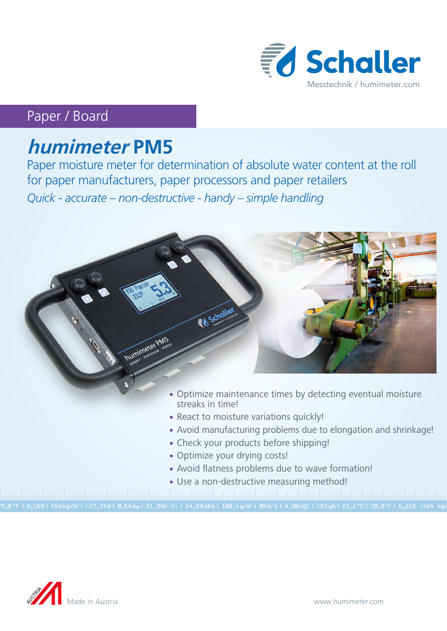

# Paper / Board

# **humimeter PM5**

Paper moisture meter for determination of absolute water content at the roll for paper manufacturers, paper processors and paper retailers *Quick - accurate – non-destructive - handy – simple handling*



- streaks in time!
- React to moisture variations quickly!
- Avoid manufacturing problems due to elongation and shrinkage!
- Check your products before shipping!
- Optimize your drying costs!
- Avoid flatness problems due to wave formation!
- Use a non-destructive measuring method!

78,0 °F | 6,16%| 456 kg/m3 | -27,3 td| 0,64 aw| 51,9 %r.H.| 14,8 % abs| 100,4 g/m2 | 09 m/s| 4,90 Ugl| 163 ym| 23,2 °C| 78,8°F| 6,21% |424 kg/m